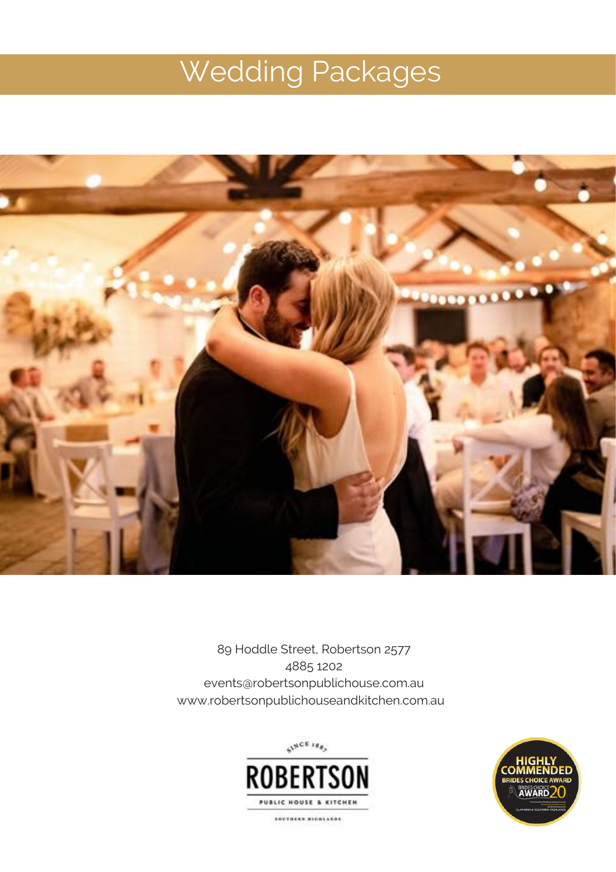# Wedding Packages



89 Hoddle Street, Robertson 2577 4885 1202 events@robertsonpublichouse.com.au www.robertsonpublichouseandkitchen.com.au



SOUTHERN MICHEANDS

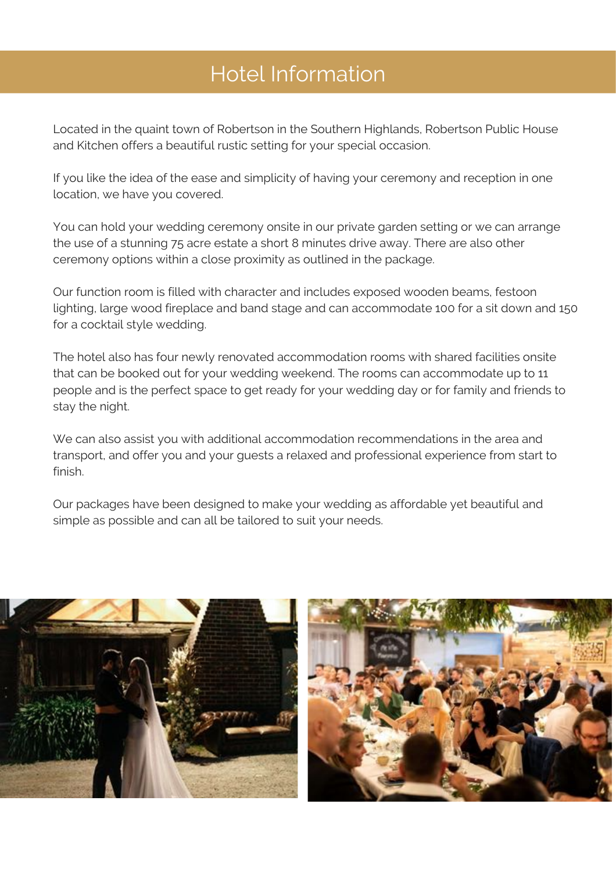# Hotel Information

Located in the quaint town of Robertson in the Southern Highlands, Robertson Public House and Kitchen offers a beautiful rustic setting for your special occasion.

If you like the idea of the ease and simplicity of having your ceremony and reception in one location, we have you covered.

You can hold your wedding ceremony onsite in our private garden setting or we can arrange the use of a stunning 75 acre estate a short 8 minutes drive away. There are also other ceremony options within a close proximity as outlined in the package.

Our function room is filled with character and includes exposed wooden beams, festoon lighting, large wood fireplace and band stage and can accommodate 100 for a sit down and 150 for a cocktail style wedding.

The hotel also has four newly renovated accommodation rooms with shared facilities onsite that can be booked out for your wedding weekend. The rooms can accommodate up to 11 people and is the perfect space to get ready for your wedding day or for family and friends to stay the night.

We can also assist you with additional accommodation recommendations in the area and transport, and offer you and your guests a relaxed and professional experience from start to finish.

Our packages have been designed to make your wedding as affordable yet beautiful and simple as possible and can all be tailored to suit your needs.

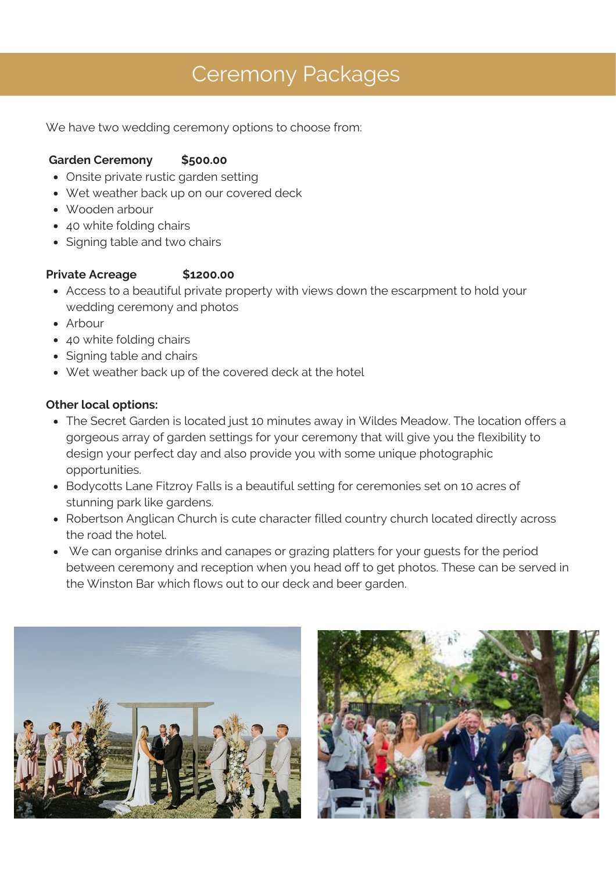## Ceremony Packages

We have two wedding ceremony options to choose from:

#### **Garden Ceremony \$500.00**

- Onsite private rustic garden setting
- Wet weather back up on our covered deck
- Wooden arbour
- 40 white folding chairs
- Signing table and two chairs

#### **Private Acreage** \$1200.00

- Access to a beautiful private property with views down the escarpment to hold your wedding ceremony and photos
- Arbour
- 40 white folding chairs
- Signing table and chairs
- Wet weather back up of the covered deck at the hotel

#### **Other local options:**

- The Secret Garden is located just 10 minutes away in Wildes Meadow. The location offers a gorgeous array of garden settings for your ceremony that will give you the flexibility to design your perfect day and also provide you with some unique photographic opportunities.
- Bodycotts Lane Fitzroy Falls is a beautiful setting for ceremonies set on 10 acres of stunning park like gardens.
- Robertson Anglican Church is cute character filled country church located directly across the road the hotel.
- We can organise drinks and canapes or grazing platters for your guests for the period between ceremony and reception when you head off to get photos. These can be served in the Winston Bar which flows out to our deck and beer garden.



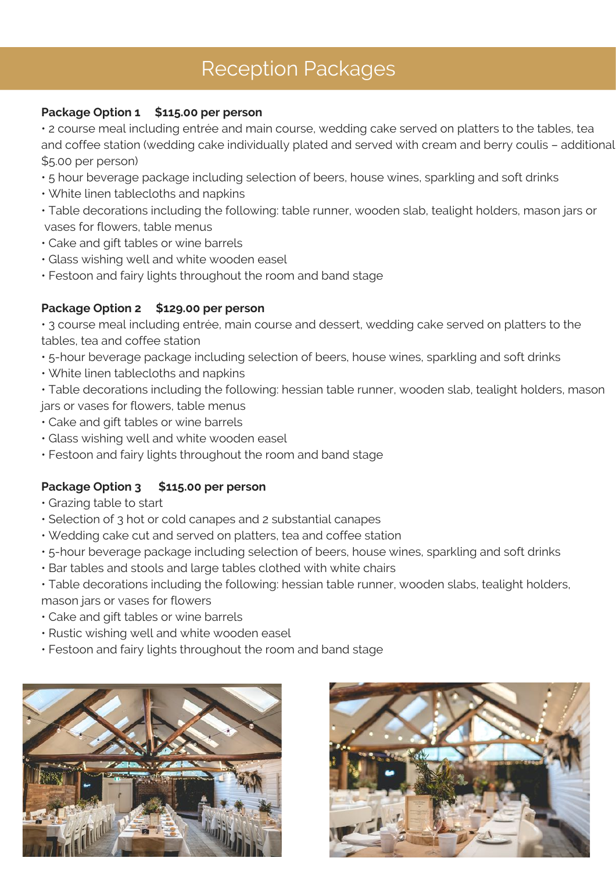## Reception Packages

#### **Package Option 1 \$115.00 per person**

• 2 course meal including entrée and main course, wedding cake served on platters to the tables, tea and coffee station (wedding cake individually plated and served with cream and berry coulis - additional \$5.00 per person)

- ƽ 5 hour beverage package including selection of beers, house wines, sparkling and soft drinks
- ƽ White linen tablecloths and napkins
- ƽ Table decorations including the following: table runner, wooden slab, tealight holders, mason jars or vases for flowers, table menus
- ƽ Cake and gift tables or wine barrels
- ƽ Glass wishing well and white wooden easel
- ƽ Festoon and fairy lights throughout the room and band stage

#### **Package Option 2 \$129.00 per person**

• 3 course meal including entrée, main course and dessert, wedding cake served on platters to the tables, tea and coffee station

- ƽ 5-hour beverage package including selection of beers, house wines, sparkling and soft drinks
- ƽ White linen tablecloths and napkins

ƽ Table decorations including the following: hessian table runner, wooden slab, tealight holders, mason jars or vases for flowers, table menus

- ƽ Cake and gift tables or wine barrels
- ƽ Glass wishing well and white wooden easel
- ƽ Festoon and fairy lights throughout the room and band stage

#### **Package Option 3 \$115.00 per person**

- ƽ Grazing table to start
- ƽ Selection of 3 hot or cold canapes and 2 substantial canapes
- ƽ Wedding cake cut and served on platters, tea and coffee station
- ƽ 5-hour beverage package including selection of beers, house wines, sparkling and soft drinks
- ƽ Bar tables and stools and large tables clothed with white chairs
- ƽ Table decorations including the following: hessian table runner, wooden slabs, tealight holders, mason jars or vases for flowers
- ƽ Cake and gift tables or wine barrels
- ƽ Rustic wishing well and white wooden easel
- ƽ Festoon and fairy lights throughout the room and band stage



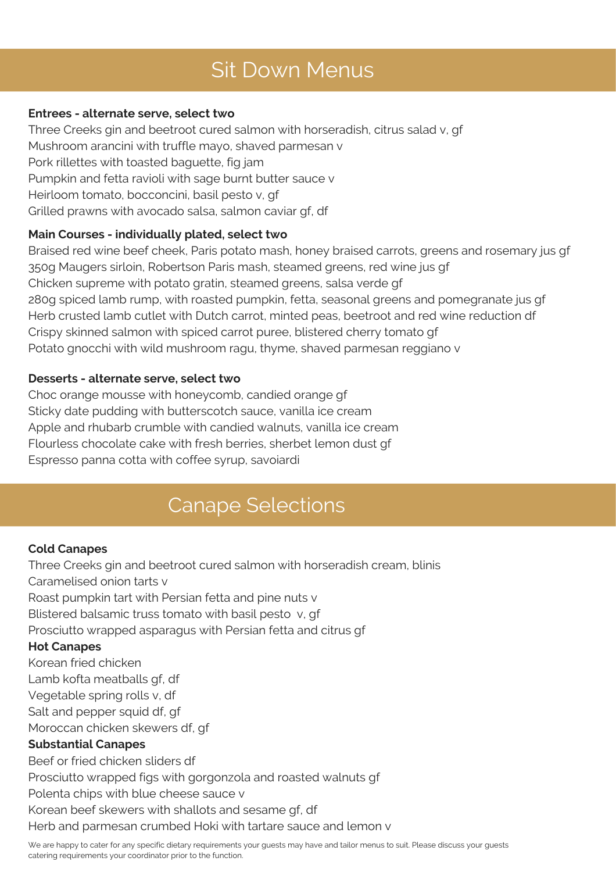# Sit Down Menus

#### **Entrees - alternate serve, select two**

Three Creeks gin and beetroot cured salmon with horseradish, citrus salad v, gf Mushroom arancini with truffle mayo, shaved parmesan v Pork rillettes with toasted baguette, fig jam Pumpkin and fetta ravioli with sage burnt butter sauce v Heirloom tomato, bocconcini, basil pesto v, gf Grilled prawns with avocado salsa, salmon caviar gf, df

#### **Main Courses - individually plated, select two**

Braised red wine beef cheek, Paris potato mash, honey braised carrots, greens and rosemary jus gf 350g Maugers sirloin, Robertson Paris mash, steamed greens, red wine jus gf Chicken supreme with potato gratin, steamed greens, salsa verde gf 280g spiced lamb rump, with roasted pumpkin, fetta, seasonal greens and pomegranate jus gf Herb crusted lamb cutlet with Dutch carrot, minted peas, beetroot and red wine reduction df Crispy skinned salmon with spiced carrot puree, blistered cherry tomato gf Potato gnocchi with wild mushroom ragu, thyme, shaved parmesan reggiano v

#### **Desserts - alternate serve, select two**

Choc orange mousse with honeycomb, candied orange gf Sticky date pudding with butterscotch sauce, vanilla ice cream Apple and rhubarb crumble with candied walnuts, vanilla ice cream Flourless chocolate cake with fresh berries, sherbet lemon dust gf Espresso panna cotta with coffee syrup, savoiardi

### Canape Selections

#### **Cold Canapes**

Three Creeks gin and beetroot cured salmon with horseradish cream, blinis Caramelised onion tarts v Roast pumpkin tart with Persian fetta and pine nuts v Blistered balsamic truss tomato with basil pesto v, gf Prosciutto wrapped asparagus with Persian fetta and citrus gf **Hot Canapes** Korean fried chicken Lamb kofta meatballs gf, df Vegetable spring rolls v, df Salt and pepper squid df, gf Moroccan chicken skewers df, gf **Substantial Canapes** Beef or fried chicken sliders df Prosciutto wrapped figs with gorgonzola and roasted walnuts gf Polenta chips with blue cheese sauce v Korean beef skewers with shallots and sesame gf, df Herb and parmesan crumbed Hoki with tartare sauce and lemon v

We are happy to cater for any specific dietary requirements your guests may have and tailor menus to suit. Please discuss your guests catering requirements your coordinator prior to the function.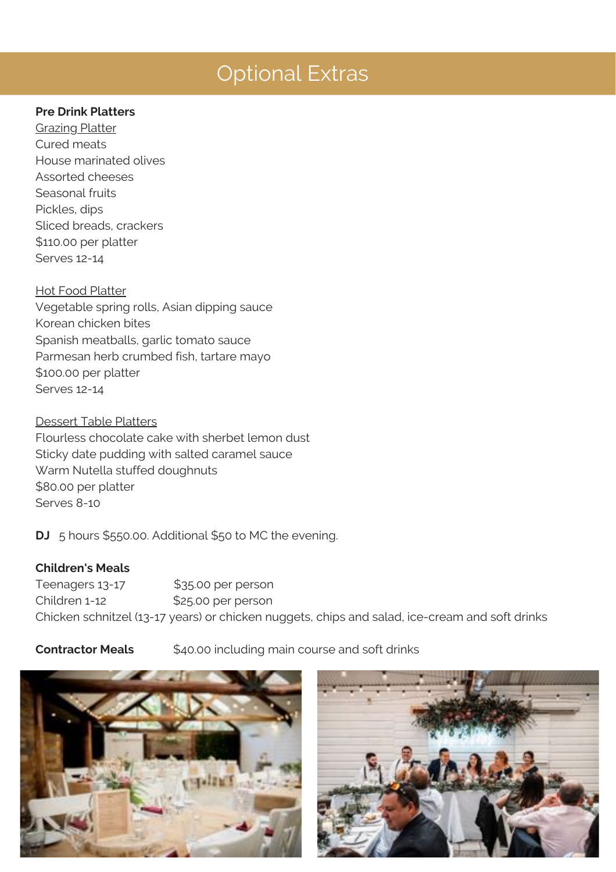#### **Pre Drink Platters**

**Grazing Platter** Cured meats House marinated olives Assorted cheeses Seasonal fruits Pickles, dips Sliced breads, crackers \$110.00 per platter Serves 12-14

#### Hot Food Platter

Vegetable spring rolls, Asian dipping sauce Korean chicken bites Spanish meatballs, garlic tomato sauce Parmesan herb crumbed fish, tartare mayo \$100.00 per platter Serves 12-14

#### Dessert Table Platters

Flourless chocolate cake with sherbet lemon dust Sticky date pudding with salted caramel sauce Warm Nutella stuffed doughnuts \$80.00 per platter Serves 8-10

**DJ** 5 hours \$550.00. Additional \$50 to MC the evening.

#### **Children's Meals**

Teenagers 13-17 \$35.00 per person Children 1-12 \$25.00 per person Chicken schnitzel (13-17 years) or chicken nuggets, chips and salad, ice-cream and soft drinks

**Contractor Meals** \$40.00 including main course and soft drinks



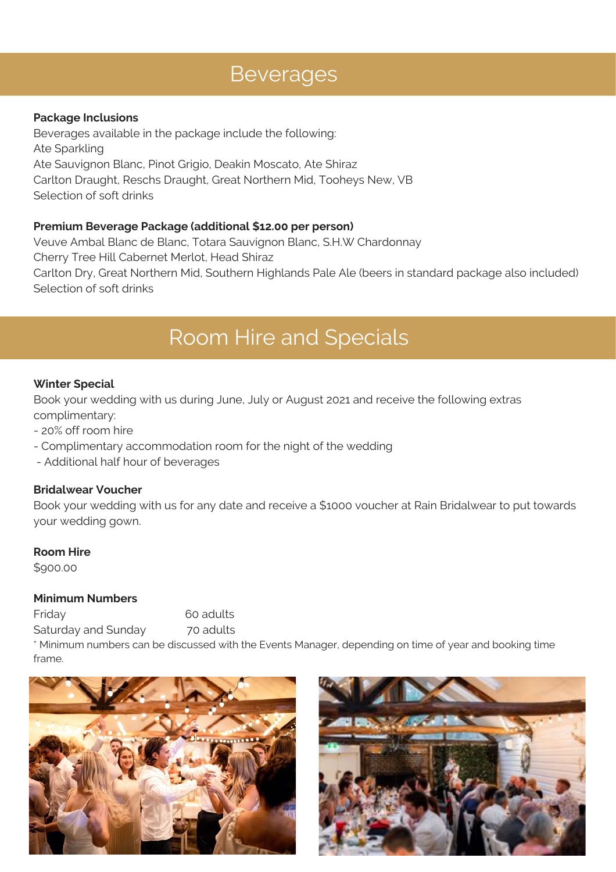# Beverages

#### **Package Inclusions**

Beverages available in the package include the following: Ate Sparkling Ate Sauvignon Blanc, Pinot Grigio, Deakin Moscato, Ate Shira^ Carlton Draught, Reschs Draught, Great Northern Mid, Tooheys New, VB Selection of soft drinks

#### **Premium Beverage Package (additional \$12.00 per person)**

Veuve Ambal Blanc de Blanc, Totara Sauvignon Blanc, S.H.W Chardonnay Cherry Tree Hill Cabernet Merlot, Head Shiraz Carlton Dry, Great Northern Mid, Southern Highlands Pale Ale (beers in standard package also included) Selection of soft drinks

## Room Hire and Specials

#### **Winter Special**

Book your wedding with us during June, July or August 2021 and receive the following extras complimentary:

- 20% off room hire

- Complimentary accommodation room for the night of the wedding
- Additional half hour of beverages

#### **Bridalwear Voucher**

Book your wedding with us for any date and receive a \$1000 voucher at Rain Bridalwear to put towards your wedding gown.

#### **Room Hire**

\$900.00

#### **Minimum Numbers**

Friday 60 adults

Saturday and Sunday 70 adults

\* Minimum numbers can be discussed with the Events Manager, depending on time of year and booking time frame.